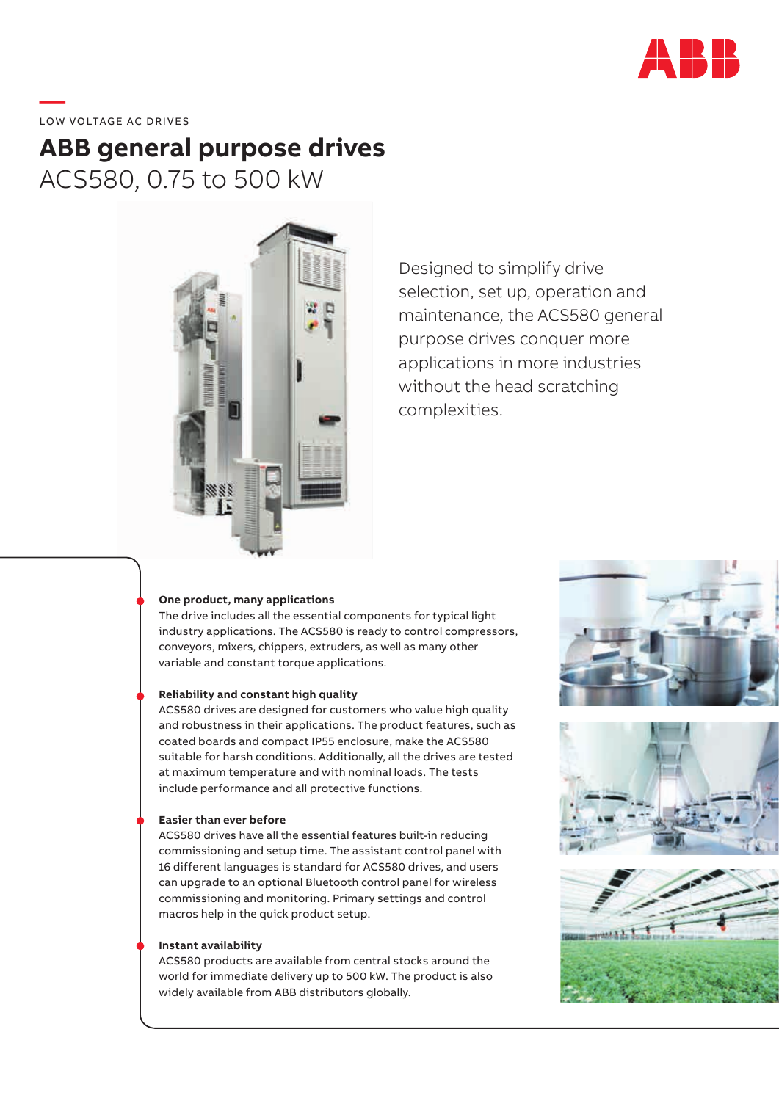

**—**  LOW VOLTAGE AC DRIVES

# **ABB general purpose drives** ACS580, 0.75 to 500 kW



Designed to simplify drive selection, set up, operation and maintenance, the ACS580 general purpose drives conquer more applications in more industries without the head scratching complexities.

### **One product, many applications**

The drive includes all the essential components for typical light industry applications. The ACS580 is ready to control compressors, conveyors, mixers, chippers, extruders, as well as many other variable and constant torque applications.

### **Reliability and constant high quality**

ACS580 drives are designed for customers who value high quality and robustness in their applications. The product features, such as coated boards and compact IP55 enclosure, make the ACS580 suitable for harsh conditions. Additionally, all the drives are tested at maximum temperature and with nominal loads. The tests include performance and all protective functions.

#### **Easier than ever before**

ACS580 drives have all the essential features built-in reducing commissioning and setup time. The assistant control panel with 16 different languages is standard for ACS580 drives, and users can upgrade to an optional Bluetooth control panel for wireless commissioning and monitoring. Primary settings and control macros help in the quick product setup.

#### **Instant availability**

ACS580 products are available from central stocks around the world for immediate delivery up to 500 kW. The product is also widely available from ABB distributors globally.